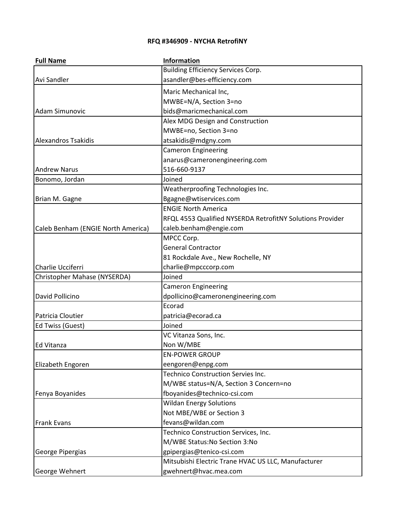## **RFQ #346909 - NYCHA RetrofiNY**

| <b>Full Name</b>                   | <b>Information</b>                                        |
|------------------------------------|-----------------------------------------------------------|
|                                    | <b>Building Efficiency Services Corp.</b>                 |
| Avi Sandler                        | asandler@bes-efficiency.com                               |
|                                    | Maric Mechanical Inc,                                     |
|                                    | MWBE=N/A, Section 3=no                                    |
| <b>Adam Simunovic</b>              | bids@maricmechanical.com                                  |
|                                    | Alex MDG Design and Construction                          |
|                                    | MWBE=no, Section 3=no                                     |
| <b>Alexandros Tsakidis</b>         | atsakidis@mdgny.com                                       |
|                                    | <b>Cameron Engineering</b>                                |
|                                    | anarus@cameronengineering.com                             |
| <b>Andrew Narus</b>                | 516-660-9137                                              |
| Bonomo, Jordan                     | Joined                                                    |
|                                    | Weatherproofing Technologies Inc.                         |
| Brian M. Gagne                     | Bgagne@wtiservices.com                                    |
|                                    | <b>ENGIE North America</b>                                |
|                                    | RFQL 4553 Qualified NYSERDA RetrofitNY Solutions Provider |
| Caleb Benham (ENGIE North America) | caleb.benham@engie.com                                    |
|                                    | MPCC Corp.                                                |
|                                    | <b>General Contractor</b>                                 |
|                                    | 81 Rockdale Ave., New Rochelle, NY                        |
| Charlie Ucciferri                  | charlie@mpcccorp.com                                      |
| Christopher Mahase (NYSERDA)       | Joined                                                    |
|                                    | <b>Cameron Engineering</b>                                |
| David Pollicino                    | dpollicino@cameronengineering.com                         |
|                                    | Ecorad                                                    |
| Patricia Cloutier                  | patricia@ecorad.ca                                        |
| Ed Twiss (Guest)                   | Joined                                                    |
|                                    | VC Vitanza Sons, Inc.                                     |
| Ed Vitanza                         | Non W/MBE                                                 |
|                                    | <b>EN-POWER GROUP</b>                                     |
| Elizabeth Engoren                  | eengoren@enpg.com                                         |
|                                    | <b>Technico Construction Servies Inc.</b>                 |
|                                    | M/WBE status=N/A, Section 3 Concern=no                    |
| Fenya Boyanides                    | fboyanides@technico-csi.com                               |
|                                    | <b>Wildan Energy Solutions</b>                            |
|                                    | Not MBE/WBE or Section 3                                  |
| <b>Frank Evans</b>                 | fevans@wildan.com                                         |
|                                    | Technico Construction Services, Inc.                      |
|                                    | M/WBE Status: No Section 3: No                            |
| George Pipergias                   | gpipergias@tenico-csi.com                                 |
|                                    | Mitsubishi Electric Trane HVAC US LLC, Manufacturer       |
| George Wehnert                     | gwehnert@hvac.mea.com                                     |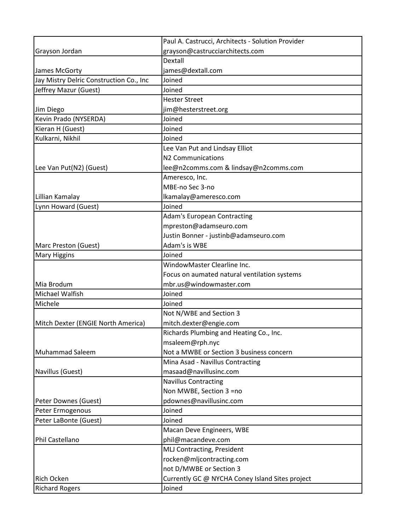|                                         | Paul A. Castrucci, Architects - Solution Provider |
|-----------------------------------------|---------------------------------------------------|
| Grayson Jordan                          | grayson@castrucciarchitects.com                   |
|                                         | <b>Dextall</b>                                    |
| James McGorty                           | james@dextall.com                                 |
| Jay Mistry Delric Construction Co., Inc | Joined                                            |
| Jeffrey Mazur (Guest)                   | Joined                                            |
|                                         | <b>Hester Street</b>                              |
| Jim Diego                               | jim@hesterstreet.org                              |
| Kevin Prado (NYSERDA)                   | Joined                                            |
| Kieran H (Guest)                        | Joined                                            |
| Kulkarni, Nikhil                        | Joined                                            |
|                                         | Lee Van Put and Lindsay Elliot                    |
|                                         | N2 Communications                                 |
| Lee Van Put(N2) (Guest)                 | lee@n2comms.com & lindsay@n2comms.com             |
|                                         | Ameresco, Inc.                                    |
|                                         | MBE-no Sec 3-no                                   |
| Lillian Kamalay                         | lkamalay@ameresco.com                             |
| Lynn Howard (Guest)                     | Joined                                            |
|                                         | <b>Adam's European Contracting</b>                |
|                                         | mpreston@adamseuro.com                            |
|                                         | Justin Bonner - justinb@adamseuro.com             |
| Marc Preston (Guest)                    | Adam's is WBE                                     |
| <b>Mary Higgins</b>                     | Joined                                            |
|                                         | WindowMaster Clearline Inc.                       |
|                                         | Focus on aumated natural ventilation systems      |
| Mia Brodum                              | mbr.us@windowmaster.com                           |
| Michael Walfish                         | Joined                                            |
| Michele                                 | Joined                                            |
|                                         | Not N/WBE and Section 3                           |
| Mitch Dexter (ENGIE North America)      | mitch.dexter@engie.com                            |
|                                         | Richards Plumbing and Heating Co., Inc.           |
|                                         | msaleem@rph.nyc                                   |
| <b>Muhammad Saleem</b>                  | Not a MWBE or Section 3 business concern          |
|                                         | Mina Asad - Navillus Contracting                  |
| Navillus (Guest)                        | masaad@navillusinc.com                            |
|                                         | <b>Navillus Contracting</b>                       |
|                                         | Non MWBE, Section 3 =no                           |
| Peter Downes (Guest)                    | pdownes@navillusinc.com                           |
| Peter Ermogenous                        | Joined                                            |
| Peter LaBonte (Guest)                   | Joined                                            |
|                                         | Macan Deve Engineers, WBE                         |
| Phil Castellano                         | phil@macandeve.com                                |
|                                         | MLJ Contracting, President                        |
|                                         | rocken@mljcontracting.com                         |
|                                         | not D/MWBE or Section 3                           |
| <b>Rich Ocken</b>                       | Currently GC @ NYCHA Coney Island Sites project   |
| <b>Richard Rogers</b>                   | Joined                                            |